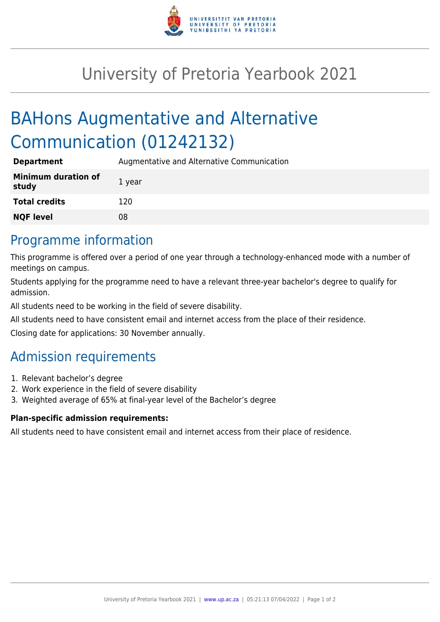

## University of Pretoria Yearbook 2021

# BAHons Augmentative and Alternative Communication (01242132)

| <b>Department</b>                   | Augmentative and Alternative Communication |
|-------------------------------------|--------------------------------------------|
| <b>Minimum duration of</b><br>study | 1 year                                     |
| <b>Total credits</b>                | 120                                        |
| <b>NQF level</b>                    | 08                                         |

## Programme information

This programme is offered over a period of one year through a technology-enhanced mode with a number of meetings on campus.

Students applying for the programme need to have a relevant three-year bachelor's degree to qualify for admission.

All students need to be working in the field of severe disability.

All students need to have consistent email and internet access from the place of their residence.

Closing date for applications: 30 November annually.

## Admission requirements

- 1. Relevant bachelor's degree
- 2. Work experience in the field of severe disability
- 3. Weighted average of 65% at final-year level of the Bachelor's degree

#### **Plan-specific admission requirements:**

All students need to have consistent email and internet access from their place of residence.